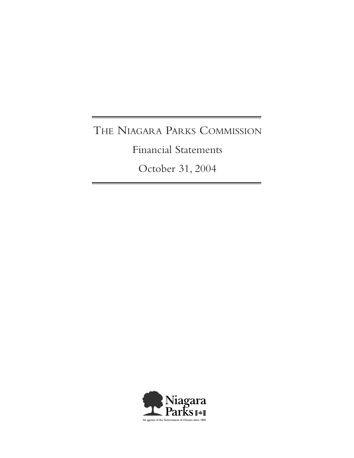# THE NIAGARA PARKS COMMISSION

Financial Statements

October 31, 2004

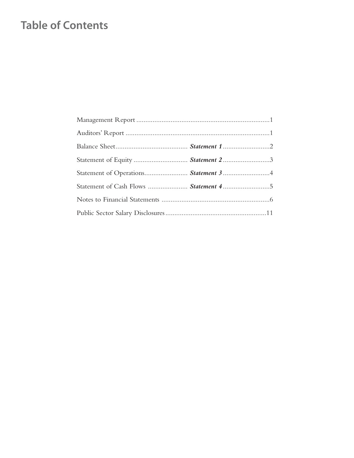# **Table of Contents**

| Statement of Equity  Statement 2 3 |  |
|------------------------------------|--|
|                                    |  |
|                                    |  |
|                                    |  |
|                                    |  |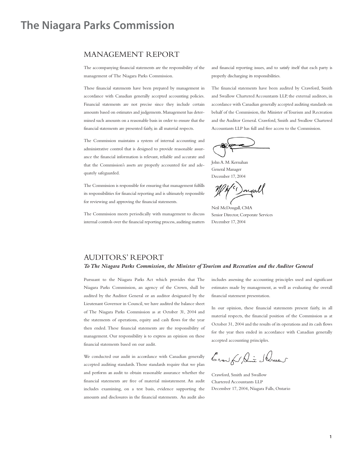# **The Niagara Parks Commission**

# MANAGEMENT REPORT

The accompanying financial statements are the responsibility of the management of The Niagara Parks Commission.

These financial statements have been prepared by management in accordance with Canadian generally accepted accounting policies. Financial statements are not precise since they include certain amounts based on estimates and judgements.Management has determined such amounts on a reasonable basis in order to ensure that the financial statements are presented fairly, in all material respects.

The Commission maintains a system of internal accounting and administrative control that is designed to provide reasonable assurance the financial information is relevant, reliable and accurate and that the Commission's assets are properly accounted for and adequately safeguarded.

The Commission is responsible for ensuring that management fulfills its responsibilities for financial reporting and is ultimately responsible for reviewing and approving the financial statements.

The Commission meets periodically with management to discuss internal controls over the financial reporting process, auditing matters and financial reporting issues, and to satisfy itself that each party is properly discharging its responsibilities.

The financial statements have been audited by Crawford, Smith and Swallow Chartered Accountants LLP, the external auditors, in accordance with Canadian generally accepted auditing standards on behalf of the Commission, the Minister of Tourism and Recreation and the Auditor General. Crawford, Smith and Swallow Chartered Accountants LLP has full and free access to the Commission.

John A. M. Kernahan General Manager December 17, 2004

negal

Neil McDougall, CMA Senior Director, Corporate Services December 17, 2004

# AUDITORS' REPORT

## *ToThe Niagara Parks Commission, the Minister of Tourism and Recreation and the Auditor General*

Pursuant to the Niagara Parks Act which provides that The Niagara Parks Commission, an agency of the Crown, shall be audited by the Auditor General or an auditor designated by the Lieutenant Governor in Council, we have audited the balance sheet of The Niagara Parks Commission as at October 31, 2004 and the statements of operations, equity and cash flows for the year then ended. These financial statements are the responsibility of management. Our responsibility is to express an opinion on these financial statements based on our audit.

We conducted our audit in accordance with Canadian generally accepted auditing standards.Those standards require that we plan and perform an audit to obtain reasonable assurance whether the financial statements are free of material misstatement. An audit includes examining, on a test basis, evidence supporting the amounts and disclosures in the financial statements. An audit also includes assessing the accounting principles used and significant estimates made by management, as well as evaluating the overall financial statement presentation.

In our opinion, these financial statements present fairly, in all material respects, the financial position of the Commission as at October 31, 2004 and the results of its operations and its cash flows for the year then ended in accordance with Canadian generally accepted accounting principles.

Crowfor, ant Ducent

Crawford, Smith and Swallow Chartered Accountants LLP December 17, 2004, Niagara Falls, Ontario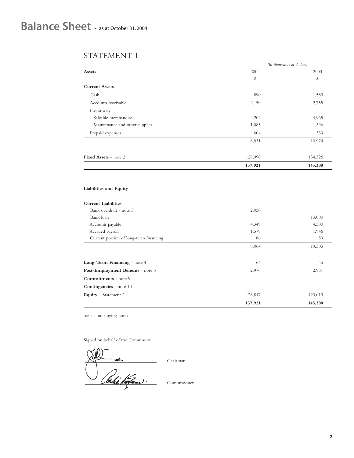# STATEMENT 1

|                                |         | (In thousands of dollars) |
|--------------------------------|---------|---------------------------|
| <b>Assets</b>                  | 2004    | 2003                      |
|                                | \$      | \$                        |
| <b>Current Assets</b>          |         |                           |
| Cash                           | 890     | 1,589                     |
| Accounts receivable            | 2,150   | 2,755                     |
| Inventories                    |         |                           |
| Saleable merchandise           | 4,202   | 4,965                     |
| Maintenance and other supplies | 1,085   | 1,326                     |
| Prepaid expenses               | 604     | 339                       |
|                                | 8,931   | 10,974                    |
| Fixed Assets - note 2          | 128,990 | 134,326                   |
|                                | 137,921 | 145,300                   |

## **Liabilities and Equity**

|                                        | 137,921 | 145,300 |
|----------------------------------------|---------|---------|
| Equity - Statement 2                   | 126,817 | 123,019 |
| <b>Contingencies</b> - note 10         |         |         |
| <b>Commitments</b> - note 9            |         |         |
| Post-Employment Benefits - note 5      | 2,976   | 2,931   |
| Long-Term Financing - note 4           | 64      | 45      |
|                                        | 8,064   | 19,305  |
| Current portion of long-term financing | 86      | 59      |
| Accrued payroll                        | 1,579   | 1,946   |
| Accounts payable                       | 4,349   | 4,300   |
| Bank loan                              |         | 13,000  |
| Bank overdraft - note 3                | 2,050   |         |
| <b>Current Liabilities</b>             |         |         |

see accompanying notes

Signed on behalf of the Commission:

 $\bigwedge \bigwedge$  Chairman Commissioner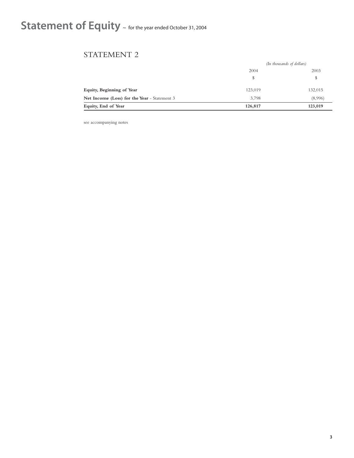# Statement of Equity ~ for the year ended October 31, 2004

# STATEMENT 2

|                                                     |         | (In thousands of dollars) |
|-----------------------------------------------------|---------|---------------------------|
|                                                     | 2004    | 2003                      |
|                                                     | \$      | \$                        |
| Equity, Beginning of Year                           | 123,019 | 132,015                   |
| <b>Net Income (Loss) for the Year</b> - Statement 3 | 3,798   | (8,996)                   |
| Equity, End of Year                                 | 126,817 | 123,019                   |

see accompanying notes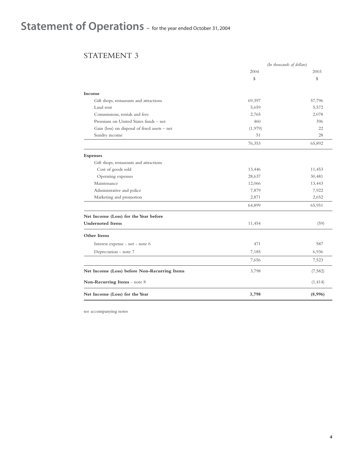# Statement of Operations  $\sim$  for the year ended October 31, 2004

# STATEMENT 3

|                                               |         | (In thousands of dollars) |
|-----------------------------------------------|---------|---------------------------|
|                                               | 2004    | 2003                      |
|                                               | \$      | \$                        |
| Income                                        |         |                           |
| Gift shops, restaurants and attractions       | 69,397  | 57,796                    |
| Land rent                                     | 5,659   | 5,572                     |
| Commissions, rentals and fees                 | 2,765   | 2,078                     |
| Premium on United States funds - net          | 460     | 396                       |
| Gain (loss) on disposal of fixed assets - net | (1,979) | 22                        |
| Sundry income                                 | 51      | 28                        |
|                                               | 76,353  | 65,892                    |
| <b>Expenses</b>                               |         |                           |
| Gift shops, restaurants and attractions       |         |                           |
| Cost of goods sold                            | 13,446  | 11,453                    |
| Operating expenses                            | 28,637  | 30,481                    |
| Maintenance                                   | 12,066  | 13,443                    |
| Administrative and police                     | 7,879   | 7,922                     |
| Marketing and promotion                       | 2,871   | 2,652                     |
|                                               | 64,899  | 65,951                    |
| Net Income (Loss) for the Year before         |         |                           |
| <b>Undernoted Items</b>                       | 11,454  | (59)                      |
| Other Items                                   |         |                           |
| Interest expense - net - note 6               | 471     | 587                       |
| Depreciation - note 7                         | 7,185   | 6,936                     |
|                                               | 7,656   | 7,523                     |
| Net Income (Loss) before Non-Recurring Items  | 3,798   | (7,582)                   |
| Non-Recurring Items - note 8                  |         | (1, 414)                  |
| Net Income (Loss) for the Year                | 3,798   | (8,996)                   |

see accompanying notes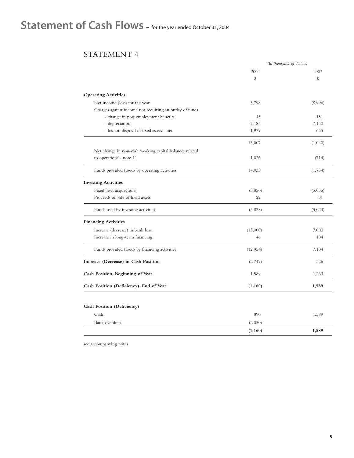# Statement of Cash Flows ~ for the year ended October 31, 2004

# STATEMENT 4

|                                                         |           | (In thousands of dollars) |
|---------------------------------------------------------|-----------|---------------------------|
|                                                         | 2004      | 2003                      |
|                                                         | \$        | \$                        |
| <b>Operating Activities</b>                             |           |                           |
| Net income (loss) for the year                          | 3,798     | (8,996)                   |
| Charges against income not requiring an outlay of funds |           |                           |
| - change in post employment benefits                    | 45        | 151                       |
| - depreciation                                          | 7,185     | 7,150                     |
| - loss on disposal of fixed assets - net                | 1,979     | 655                       |
|                                                         | 13,007    | (1,040)                   |
| Net change in non-cash working capital balances related |           |                           |
| to operations - note 11                                 | 1,026     | (714)                     |
| Funds provided (used) by operating activities           | 14,033    | (1,754)                   |
| <b>Investing Activities</b>                             |           |                           |
| Fixed asset acquisitions                                | (3,850)   | (5,055)                   |
| Proceeds on sale of fixed assets                        | 22        | 31                        |
| Funds used by investing activities                      | (3,828)   | (5,024)                   |
| <b>Financing Activities</b>                             |           |                           |
| Increase (decrease) in bank loan                        | (13,000)  | 7,000                     |
| Increase in long-term financing                         | 46        | 104                       |
| Funds provided (used) by financing activities           | (12, 954) | 7,104                     |
| Increase (Decrease) in Cash Position                    | (2,749)   | 326                       |
| Cash Position, Beginning of Year                        | 1,589     | 1,263                     |
| Cash Position (Deficiency), End of Year                 | (1, 160)  | 1,589                     |
|                                                         |           |                           |
| Cash Position (Deficiency)                              |           |                           |
| Cash                                                    | 890       | 1,589                     |
| Bank overdraft                                          | (2,050)   |                           |
|                                                         | (1, 160)  | 1,589                     |

see accompanying notes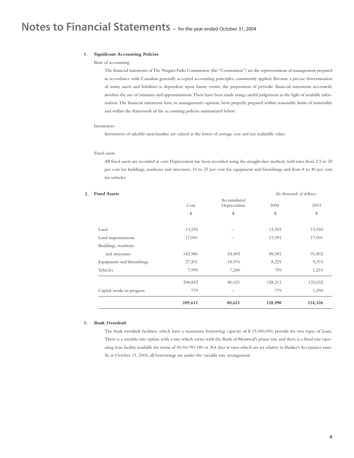### **1. Significant Accounting Policies**

#### Basis of accounting

The financial statements of The Niagara Parks Commission (the "Commission") are the representations of management prepared in accordance with Canadian generally accepted accounting principles, consistently applied. Because a precise determination of many assets and liabilities is dependent upon future events, the preparation of periodic financial statements necessarily involves the use of estimates and approximations.These have been made using careful judgement in the light of available information.The financial statements have, in management's opinion, been properly prepared within reasonable limits of materiality and within the framework of the accounting policies summarized below:

### Inventories

Inventories of saleable merchandise are valued at the lower of average cost and net realizable value.

## Fixed assets

All fixed assets are recorded at cost. Depreciation has been recorded using the straight-line method, with rates from 2.5 to 20 per cent for buildings, roadways and structures, 10 to 25 per cent for equipment and furnishings and from 8 to 40 per cent for vehicles.

|                           | 209,611 | 80,621                      | 128,990 | 134,326                   |
|---------------------------|---------|-----------------------------|---------|---------------------------|
| Capital works in progress | 779     | -                           | 779     | 1,294                     |
|                           | 208,832 | 80,621                      | 128,211 | 133,032                   |
| Vehicles                  | 7,999   | 7,240                       | 759     | 1,210                     |
| Equipment and furnishings | 27,201  | 18,976                      | 8,225   | 9,374                     |
| and structures            | 142,986 | 54,405                      | 88,581  | 91,802                    |
| Buildings, roadways       |         |                             |         |                           |
| Land improvements         | 17,091  |                             | 17,091  | 17,091                    |
| Land                      | 13,555  |                             | 13,555  | 13,555                    |
|                           | \$      | \$                          | \$      | \$                        |
|                           | Cost    | Accumulated<br>Depreciation | 2004    | 2003                      |
| <b>Fixed Assets</b>       |         |                             |         | (In thousands of dollars) |

#### **3. Bank Overdraft**

The bank overdraft facilities, which have a maximum borrowing capacity of \$ 15,000,000, provide for two types of loans. There is a variable rate option with a rate which varies with the Bank of Montreal's prime rate and there is a fixed rate operating loan facility available for terms of 30/60/90/180 or 364 days at rates which are set relative to Banker's Acceptance rates. As at October 31, 2004, all borrowings are under the variable rate arrangement.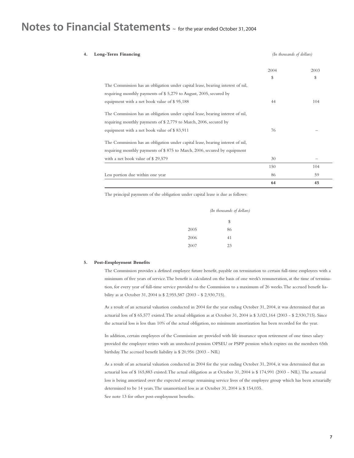# **Notes to Financial Statements** ~ for the year ended October 31, 2004

| Long-Term Financing                                                            | (In thousands of dollars) |      |
|--------------------------------------------------------------------------------|---------------------------|------|
|                                                                                | 2004                      | 2003 |
|                                                                                | \$                        | S    |
| The Commission has an obligation under capital lease, bearing interest of nil, |                           |      |
| requiring monthly payments of \$5,279 to August, 2005, secured by              |                           |      |
| equipment with a net book value of \$95,188                                    | 44                        | 104  |
| The Commission has an obligation under capital lease, bearing interest of nil, |                           |      |
| requiring monthly payments of $$2,779$ to March, 2006, secured by              |                           |      |
| equipment with a net book value of \$83,911                                    | 76                        |      |
| The Commission has an obligation under capital lease, bearing interest of nil, |                           |      |
| requiring monthly payments of \$875 to March, 2006, secured by equipment       |                           |      |
| with a net book value of \$29,579                                              | 30                        |      |
|                                                                                | 150                       | 104  |
| Less portion due within one year                                               | 86                        | 59   |
|                                                                                | 64                        | 45   |

The principal payments of the obligation under capital lease is due as follows:

|      | (In thousands of dollars) |
|------|---------------------------|
|      | \$                        |
| 2005 | 86                        |
| 2006 | 41                        |
| 2007 | 23                        |

#### **5. Post-Employment Benefits**

The Commission provides a defined employee future benefit, payable on termination to certain full-time employees with a minimum of five years of service.The benefit is calculated on the basis of one week's remuneration, at the time of termination, for every year of full-time service provided to the Commission to a maximum of 26 weeks.The accrued benefit liability as at October 31, 2004 is \$ 2,955,587 (2003 - \$ 2,930,715).

As a result of an actuarial valuation conducted in 2004 for the year ending October 31, 2004, it was determined that an actuarial loss of \$ 65,577 existed.The actual obligation as at October 31, 2004 is \$ 3,021,164 (2003 - \$ 2,930,715). Since the actuarial loss is less than 10% of the actual obligation, no minimum amortization has been recorded for the year.

In addition, certain employees of the Commission are provided with life insurance upon retirement of one times salary provided the employee retires with an unreduced pension OPSEU or PSPP pension which expires on the members 65th birthday.The accrued benefit liability is \$ 20,956 (2003 - NIL)

As a result of an actuarial valuation conducted in 2004 for the year ending October 31, 2004, it was determined that an actuarial loss of \$ 165,883 existed.The actual obligation as at October 31, 2004 is \$ 174,991 (2003 - NIL).The actuarial loss is being amortized over the expected average remaining service lives of the employee group which has been actuarially determined to be 14 years.The unamortized loss as at October 31, 2004 is \$ 154,035. See note 13 for other post-employment benefits.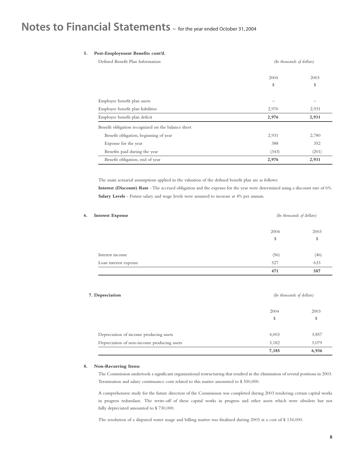# **Notes to Financial Statements** ~ for the year ended October 31, 2004

## **5. Post-Employment Benefits cont'd.**

| Defined Benefit Plan Information                   | (In thousands of dollars) |       |
|----------------------------------------------------|---------------------------|-------|
|                                                    | 2004                      | 2003  |
|                                                    | \$                        | \$    |
| Employee benefit plan assets                       | $\overline{\phantom{0}}$  | —     |
| Employee benefit plan liabilities                  | 2,976                     | 2,931 |
| Employee benefit plan deficit                      | 2,976                     | 2,931 |
| Benefit obligation recognized on the balance sheet |                           |       |
| Benefit obligation, beginning of year              | 2,931                     | 2,780 |
| Expense for the year                               | 388                       | 352   |
| Benefits paid during the year                      | (343)                     | (201) |
| Benefit obligation, end of year                    | 2,976                     | 2,931 |

The main actuarial assumptions applied in the valuation of the defined benefit plan are as follows:

**Interest (Discount) Rate** - The accrued obligation and the expense for the year were determined using a discount rate of 6%. **Salary Levels** - Future salary and wage levels were assumed to increase at 4% per annum.

| <b>Interest Expense</b> |      | (In thousands of dollars) |
|-------------------------|------|---------------------------|
|                         | 2004 | 2003                      |
|                         | \$   | \$                        |
| Interest income         | (56) | (46)                      |
| Loan interest expense   | 527  | 633                       |
|                         | 471  | 587                       |

## **7. Depreciation** *(In thousands of dollars)*

| \$<br>3,857<br>3,079 |
|----------------------|
|                      |
|                      |
|                      |
| 2003                 |
|                      |

### **8. Non-Recurring Items**

The Commission undertook a significant organizational restructuring that resulted in the elimination of several positions in 2003. Termination and salary continuance costs related to this matter amounted to \$ 550,000.

A comprehensive study for the future direction of the Commission was completed during 2003 rendering certain capital works in progress redundant. The write-off of these capital works in progress and other assets which were obsolete but not fully depreciated amounted to \$ 730,000.

The resolution of a disputed water usage and billing matter was finalized during 2003 at a cost of \$ 134,000.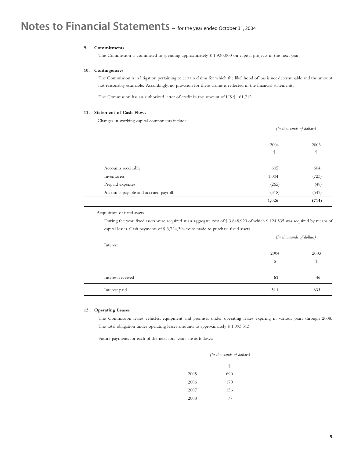# **Notes to Financial Statements** ~ for the year ended October 31, 2004

## **9. Commitments**

The Commission is committed to spending approximately \$ 1,930,000 on capital projects in the next year.

### **10. Contingencies**

The Commission is in litigation pertaining to certain claims for which the likelihood of loss is not determinable and the amount not reasonably estimable. Accordingly, no provision for these claims is reflected in the financial statements.

The Commission has an authorized letter of credit in the amount of US \$ 161,712.

#### **11. Statement of Cash Flows**

Changes in working capital components include:

|                                      | (In thousands of dollars) |            |
|--------------------------------------|---------------------------|------------|
|                                      | 2004<br>\$                | 2003<br>\$ |
|                                      |                           |            |
| Accounts receivable                  | 605                       | 604        |
| Inventories                          | 1,004                     | (723)      |
| Prepaid expenses                     | (265)                     | (48)       |
| Accounts payable and accrued payroll | (318)                     | (547)      |
|                                      | 1,026                     | (714)      |

Acquisition of fixed assets

During the year, fixed assets were acquired at an aggregate cost of \$ 3,848,929 of which \$ 124,535 was acquired by means of capital leases. Cash payments of \$ 3,724,394 were made to purchase fixed assets.

| Interest          |      | (In thousands of dollars) |  |
|-------------------|------|---------------------------|--|
|                   | 2004 | 2003                      |  |
|                   | \$   | \$                        |  |
|                   |      |                           |  |
| Interest received | 61   | 46                        |  |
| Interest paid     | 511  | 633                       |  |

### **12. Operating Leases**

The Commission leases vehicles, equipment and premises under operating leases expiring in various years through 2008. The total obligation under operating leases amounts to approximately \$ 1,093,313.

Future payments for each of the next four years are as follows:

|      | (In thousands of dollars) |  |  |
|------|---------------------------|--|--|
|      | \$                        |  |  |
| 2005 | 690                       |  |  |
| 2006 | 170                       |  |  |
| 2007 | 156                       |  |  |
| 2008 | 77                        |  |  |
|      |                           |  |  |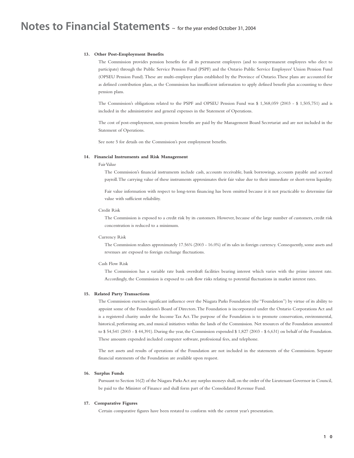#### **13. Other Post-Employment Benefits**

The Commission provides pension benefits for all its permanent employees (and to nonpermanent employees who elect to participate) through the Public Service Pension Fund (PSPF) and the Ontario Public Service Employees' Union Pension Fund (OPSEU Pension Fund).These are multi-employer plans established by the Province of Ontario.These plans are accounted for as defined contribution plans, as the Commission has insufficient information to apply defined benefit plan accounting to these pension plans.

The Commission's obligations related to the PSPF and OPSEU Pension Fund was \$ 1,368,059 (2003 - \$ 1,505,751) and is included in the administrative and general expenses in the Statement of Operations.

The cost of post-employment, non-pension benefits are paid by the Management Board Secretariat and are not included in the Statement of Operations.

See note 5 for details on the Commission's post employment benefits.

#### **14. Financial Instruments and Risk Management**

### Fair Value

The Commission's financial instruments include cash, accounts receivable, bank borrowings, accounts payable and accrued payroll.The carrying value of these instruments approximates their fair value due to their immediate or short-term liquidity.

Fair value information with respect to long-term financing has been omitted because it it not practicable to determine fair value with sufficient reliability.

### Credit Risk

The Commission is exposed to a credit risk by its customers. However, because of the large number of customers, credit risk concentration is reduced to a minimum.

#### Currency Risk

The Commission realizes approximately 17.56% (2003 - 16.0%) of its sales in foreign currency. Consequently, some assets and revenues are exposed to foreign exchange fluctuations.

#### Cash Flow Risk

The Commission has a variable rate bank overdraft facilities bearing interest which varies with the prime interest rate. Accordingly, the Commission is exposed to cash flow risks relating to potential fluctuations in market interest rates.

#### **15. Related Party Transactions**

The Commission exercises significant influence over the Niagara Parks Foundation (the "Foundation") by virtue of its ability to appoint some of the Foundation's Board of Directors.The Foundation is incorporated under the Ontario Corporations Act and is a registered charity under the Income Tax Act. The purpose of the Foundation is to promote conservation, environmental, historical, performing arts, and musical initiatives within the lands of the Commission. Net resources of the Foundation amounted to \$ 54,541 (2003 - \$ 44,391). During the year, the Commission expended \$ 1,827 (2003 - \$ 6,631) on behalf of the Foundation. These amounts expended included computer software, professional fees, and telephone.

The net assets and results of operations of the Foundation are not included in the statements of the Commission. Separate financial statements of the Foundation are available upon request.

#### **16. Surplus Funds**

Pursuant to Section 16(2) of the Niagara Parks Act any surplus moneys shall, on the order of the Lieutenant Governor in Council, be paid to the Minister of Finance and shall form part of the Consolidated Revenue Fund.

### **17. Comparative Figures**

Certain comparative figures have been restated to conform with the current year's presentation.